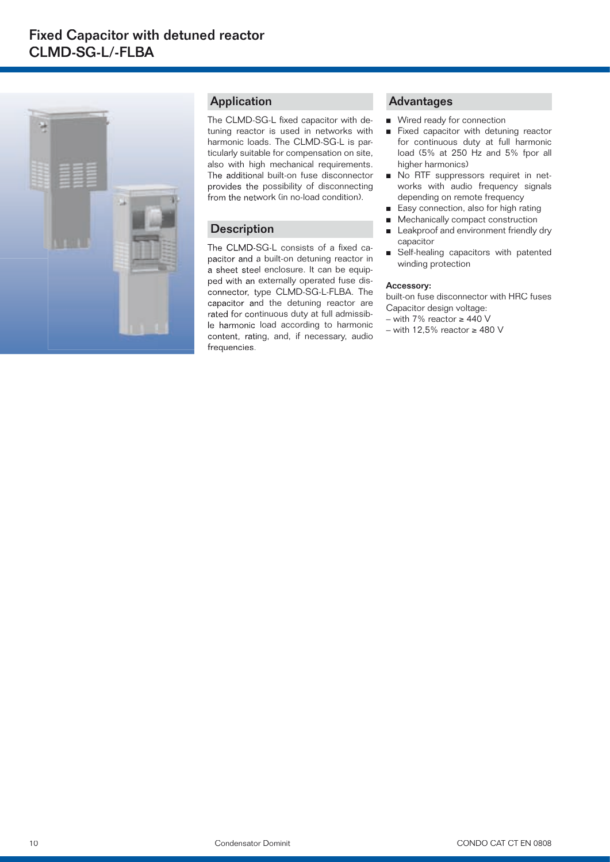

# Application

The CLMD-SG-L fixed capacitor with detuning reactor is used in networks with harmonic loads. The CLMD-SG-L is particularly suitable for compensation on site, also with high mechanical requirements. The additional built-on fuse disconnector provides the possibility of disconnecting from the network (in no-load condition).

# **Description**

The CLMD-SG-L consists of a fixed capacitor and a built-on detuning reactor in a sheet steel enclosure. It can be equipped with an externally operated fuse disconnector, type CLMD-SG-L-FLBA. The capacitor and the detuning reactor are rated for continuous duty at full admissible harmonic load according to harmonic content, rating, and, if necessary, audio frequencies.

### Advantages

- Wired ready for connection
- Fixed capacitor with detuning reactor for continuous duty at full harmonic load (5% at 250 Hz and 5% fpor all higher harmonics)
- No RTF suppressors requiret in net works with audio frequency signals depending on remote frequency
- Easy connection, also for high rating
- Mechanically compact construction
- Leakproof and environment friendly dry capacitor
- Self-healing capacitors with patented winding protection

#### Accessory:

built-on fuse disconnector with HRC fuses Capacitor design voltage:

- with 7% reactor ≥ 440 V
- with 12,5% reactor ≥ 480 V